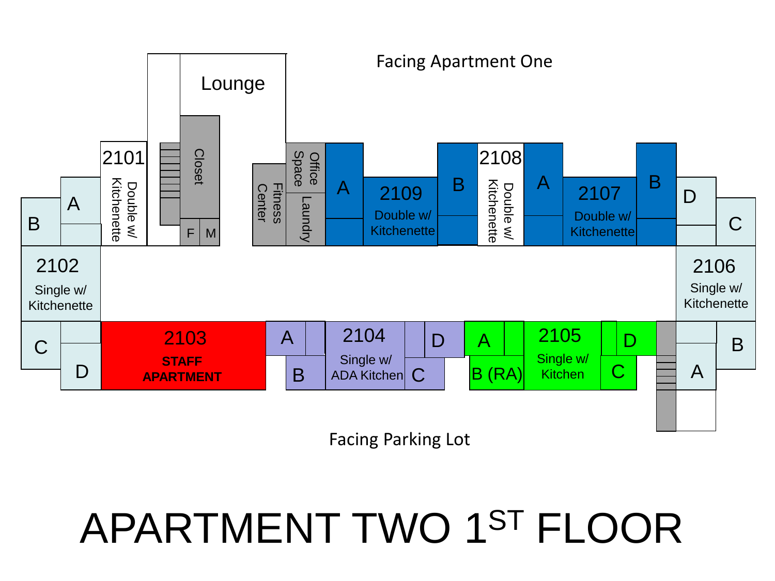

Facing Parking Lot

## APARTMENT TWO 1ST FLOOR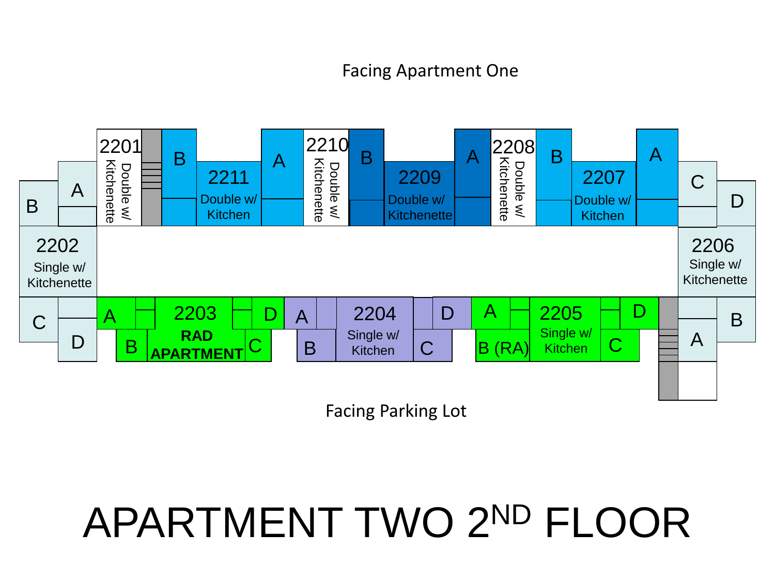## Facing Apartment One



Facing Parking Lot

# APARTMENT TWO 2ND FLOOR